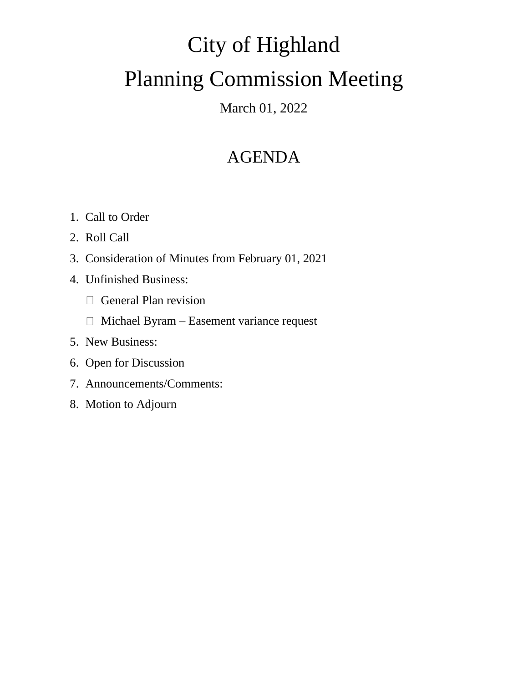# City of Highland Planning Commission Meeting

### March 01, 2022

## AGENDA

- 1. Call to Order
- 2. Roll Call
- 3. Consideration of Minutes from February 01, 2021
- 4. Unfinished Business:
	- General Plan revision
	- $\Box$  Michael Byram Easement variance request
- 5. New Business:
- 6. Open for Discussion
- 7. Announcements/Comments:
- 8. Motion to Adjourn